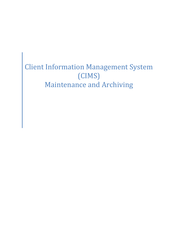# Client Information Management System (CIMS) Maintenance and Archiving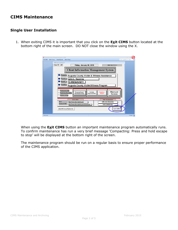### **CIMS Maintenance**

#### **Single User Installation**

1. When exiting CIMS it is important that you click on the **Exit CIMS** button located at the bottom right of the main screen. DO NOT close the window using the X.

|                  | Client Information Management System (CIMS)<br>Exit CIMS Select Forms Select Reports Select Charts                                                                                                                                                                                                                                                       | Type a question for help |
|------------------|----------------------------------------------------------------------------------------------------------------------------------------------------------------------------------------------------------------------------------------------------------------------------------------------------------------------------------------------------------|--------------------------|
|                  | <b>CIMS Main Switchboard</b><br><b>User ID: LAD</b><br>Friday, January 30, 2015<br><b>CIMS Rel. 9.2H.1</b><br><b>Client Information Management System</b><br>Program:<br><b>Augusta County Victim &amp; Witness Assistance</b><br>Director:<br><b>Julie L. Hawkins</b><br>Grant #:<br>12-R8564VG11<br>Locality:<br>Augusta County Victim/Witness Program |                          |
|                  | <b>Reattach Data Base</b><br>n<br><b>Client</b> and<br>Custom<br><b>Progress</b><br>Program/Grant<br>$\circ$<br><b>Check Data Base Links</b><br>Reports/Other<br>Report<br><b>Information Entry</b><br><b>Services</b><br>о<br><b>Database Tools</b>                                                                                                     |                          |
|                  | <b>DEJS LINKS</b><br><b>CIMS Documentation</b><br>DCJS:<br><b>CIMS User's Manual.doc</b><br>http://www.dcjs.virginia.gov/<br>Download CIMS:<br>http://www.dcjs.virginia.gov/victims/cims/<br><b>DCJS Codebook.doc</b><br>Exit CIMS<br><b>About MS Access/System Info</b>                                                                                 |                          |
| <b>Form View</b> |                                                                                                                                                                                                                                                                                                                                                          | Filtered                 |

When using the **Exit CIMS** button an important maintenance program automatically runs. To confirm maintenance has run a very brief message 'Compacting: Press and hold escape to stop' will be displayed at the bottom right of the screen.

The maintenance program should be run on a regular basis to ensure proper performance of the CIMS application.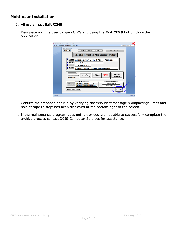#### **Multi-user Installation**

- 1. All users must **Exit CIMS**.
- 2. Designate a single user to open CIMS and using the **Exit CIMS** button close the application.

| Exit CIMS Select Forms Select Reports Select Charts                                                                                                  |                                                                                        | Type a question for help      |
|------------------------------------------------------------------------------------------------------------------------------------------------------|----------------------------------------------------------------------------------------|-------------------------------|
| <b>CIMS Main Switchhoard</b><br><b>User ID: LAD</b><br>Friday, January 30, 2015                                                                      |                                                                                        | <b>CIMS Rel. 9.2H.1</b>       |
|                                                                                                                                                      | <b>Client Information Management System</b>                                            |                               |
| Program:                                                                                                                                             | <b>Augusta County Victim &amp; Witness Assistance</b>                                  |                               |
| Director:<br><b>Julie L. Hawkins</b><br>Grant #:<br>12-R8564VG11                                                                                     |                                                                                        |                               |
| Locality:                                                                                                                                            | <b>Augusta County Victim/Witness Program</b>                                           |                               |
| <b>Reattach Data Base</b><br>O<br>Program/Grant<br>$\circ$<br><b>Check Data Base Links</b><br><b>Information Entry</b><br>Ω<br><b>Database Tools</b> | Custom<br><b>Progress</b><br><b>Reports/Other</b><br>Report                            | Client and<br><b>Services</b> |
| <b>DEJS LINKS</b><br>DCJS:<br>http://www.dcjs.virginia.gov/<br><b>Download CIMS:</b><br>http://www.dcjs.virginia.gov/victims/cims/                   | <b>CIMS Documentation</b><br><b>CIMS User's Manual doc</b><br><b>DCJS Codebook.doc</b> |                               |
|                                                                                                                                                      |                                                                                        |                               |

- 3. Confirm maintenance has run by verifying the very brief message 'Compacting: Press and hold escape to stop' has been displayed at the bottom right of the screen.
- 4. If the maintenance program does not run or you are not able to successfully complete the archive process contact DCJS Computer Services for assistance.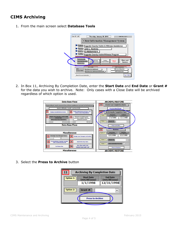## **CIMS Archiving**

1. From the main screen select **Database Tools**



2. In Box 11, Archiving By Completion Date, enter the **Start Date** and **End Date** or **Grant #** for the data you wish to archive. Note: Only cases with a Close Date will be archived regardless of which option is used.

| <b>Data Base Fixes</b>                                                                                                                                                                                                  | <b>ARCHIVE/RESTORE</b>                                                                                                 |  |  |
|-------------------------------------------------------------------------------------------------------------------------------------------------------------------------------------------------------------------------|------------------------------------------------------------------------------------------------------------------------|--|--|
| Progress Report may be incorrect if any of these conditions are present for the fiscal year                                                                                                                             | <b>Client/Case Completion Dates</b><br>10                                                                              |  |  |
| System will display records - you have to fix                                                                                                                                                                           | <b>Press to Enter/Change</b>                                                                                           |  |  |
| $\overline{\mathbf{z}}$<br><b>Display Blank Referral Dates and</b><br><b>Display Invalid Referral Dates</b><br>correct other DB problems                                                                                | <b>Archiving By Completion Date</b>                                                                                    |  |  |
| 3<br><b>Display Grant Numbers with invalid</b><br>$\blacksquare$<br>Check for Invalid Grant # -<br>referral date<br>drop down displays all of your<br><b>Database Grant #'s</b><br><b>Select Fiscal Year Start Date</b> | <b>Start Date</b><br><b>End Date</b><br>Option 1:<br>(mm/dd/yyyy)<br>(mm/dd/yyyy)<br>1/1/1900<br>1/1/1900<br>Option 2: |  |  |
| ۰<br>×.<br><b>Data Base Fixes</b>                                                                                                                                                                                       | Grant #:<br>۰<br><b>Press to Archive</b>                                                                               |  |  |
|                                                                                                                                                                                                                         | 12<br><b>Restore</b>                                                                                                   |  |  |
| <b>Miscellaneous</b>                                                                                                                                                                                                    | <b>End Date</b><br><b>Start Date</b><br>Option 1:<br>(mm/dd/yyyy)<br>(mm/dd/vvvv)                                      |  |  |
| <b>Reassign Case Manager Cases</b><br>8<br><b>Assign Case Managers to Section</b><br>۰                                                                                                                                  | 1/1/1900<br>1/1/1900                                                                                                   |  |  |
| <b>Fix Restitution Payment records</b><br>$6\overline{6}$<br>$\overline{9}$<br><b>Add/Delete Zip Codes</b><br>with invalid defendant ID                                                                                 | Option 2:<br>Grant #:<br>۰<br>c<br><b>Select Individual Records:</b><br>Option 3:                                      |  |  |
| <b>New Client Audit Trail</b><br><b>9A</b><br><b>For Future Use</b><br><b>Deleted Client Audit Trail</b>                                                                                                                | <b>Press to Restore</b>                                                                                                |  |  |
| <b>Miscellaneous</b>                                                                                                                                                                                                    | <b>ARCHIVE/RESTORE</b>                                                                                                 |  |  |

3. Select the **Press to Archive** button